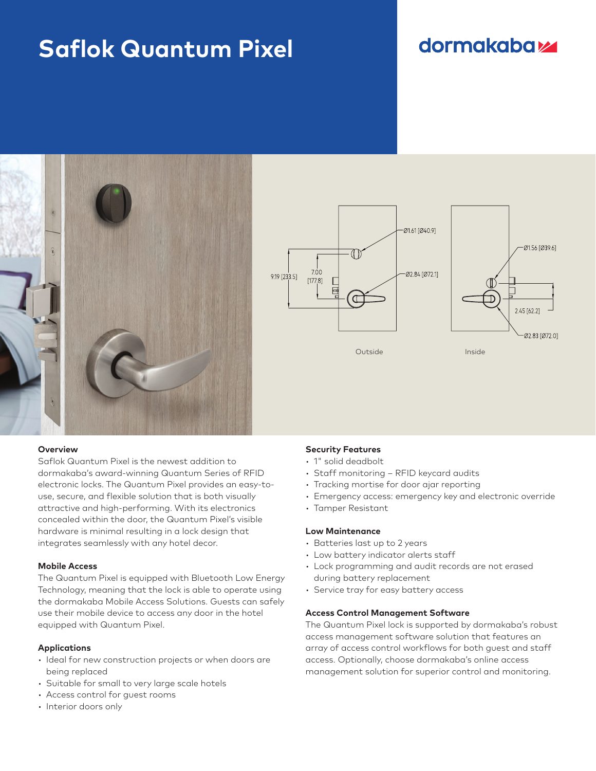# **Saflok Quantum Pixel**

## **dormakabazz**







#### **Overview**

Saflok Quantum Pixel is the newest addition to dormakaba's award-winning Quantum Series of RFID electronic locks. The Quantum Pixel provides an easy-touse, secure, and flexible solution that is both visually attractive and high-performing. With its electronics concealed within the door, the Quantum Pixel's visible hardware is minimal resulting in a lock design that integrates seamlessly with any hotel decor.

#### **Mobile Access**

The Quantum Pixel is equipped with Bluetooth Low Energy Technology, meaning that the lock is able to operate using the dormakaba Mobile Access Solutions. Guests can safely use their mobile device to access any door in the hotel equipped with Quantum Pixel.

#### **Applications**

- Ideal for new construction projects or when doors are being replaced
- Suitable for small to very large scale hotels
- Access control for guest rooms
- Interior doors only

### **Security Features**

- 1" solid deadbolt
- Staff monitoring RFID keycard audits
- Tracking mortise for door ajar reporting
- Emergency access: emergency key and electronic override
- Tamper Resistant

#### **Low Maintenance**

- Batteries last up to 2 years
- Low battery indicator alerts staff
- Lock programming and audit records are not erased during battery replacement
- Service tray for easy battery access

#### **Access Control Management Software**

The Quantum Pixel lock is supported by dormakaba's robust access management software solution that features an array of access control workflows for both guest and staff access. Optionally, choose dormakaba's online access management solution for superior control and monitoring.